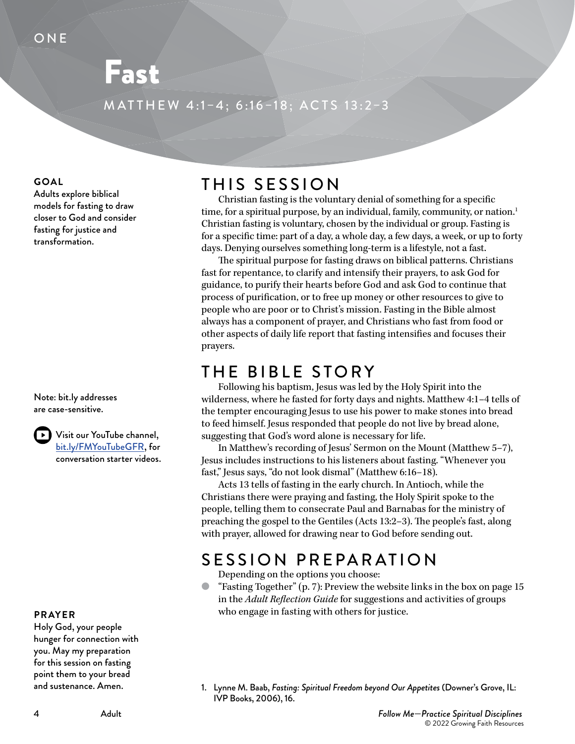# Fast

MATTHEW 4:1–4; 6:16–18; ACTS 13:2–3

#### **GOAL**

Adults explore biblical models for fasting to draw closer to God and consider fasting for justice and transformation.

Note: bit.ly addresses are case-sensitive.

> Visit our YouTube channel, [bit.ly/FMYouTubeGFR,](https://www.youtube.com/c/GrowingFaithResources) for conversation starter videos.

#### **PRAYER**

Holy God, your people hunger for connection with you. May my preparation for this session on fasting point them to your bread and sustenance. Amen.

## THIS SESSION

Christian fasting is the voluntary denial of something for a specific time, for a spiritual purpose, by an individual, family, community, or nation.<sup>1</sup> Christian fasting is voluntary, chosen by the individual or group. Fasting is for a specific time: part of a day, a whole day, a few days, a week, or up to forty days. Denying ourselves something long-term is a lifestyle, not a fast.

The spiritual purpose for fasting draws on biblical patterns. Christians fast for repentance, to clarify and intensify their prayers, to ask God for guidance, to purify their hearts before God and ask God to continue that process of purification, or to free up money or other resources to give to people who are poor or to Christ's mission. Fasting in the Bible almost always has a component of prayer, and Christians who fast from food or other aspects of daily life report that fasting intensifies and focuses their prayers.

### THE BIBLE STORY

Following his baptism, Jesus was led by the Holy Spirit into the wilderness, where he fasted for forty days and nights. Matthew 4:1–4 tells of the tempter encouraging Jesus to use his power to make stones into bread to feed himself. Jesus responded that people do not live by bread alone, suggesting that God's word alone is necessary for life.

In Matthew's recording of Jesus' Sermon on the Mount (Matthew 5–7), Jesus includes instructions to his listeners about fasting. "Whenever you fast," Jesus says, "do not look dismal" (Matthew 6:16–18).

Acts 13 tells of fasting in the early church. In Antioch, while the Christians there were praying and fasting, the Holy Spirit spoke to the people, telling them to consecrate Paul and Barnabas for the ministry of preaching the gospel to the Gentiles (Acts 13:2–3). The people's fast, along with prayer, allowed for drawing near to God before sending out.

## SESSION PREPARATION

Depending on the options you choose:

- "Fasting Together" (p. 7): Preview the website links in the box on page 15 in the *Adult Reflection Guide* for suggestions and activities of groups who engage in fasting with others for justice.
- 1. Lynne M. Baab, *Fasting: Spiritual Freedom beyond Our Appetites* (Downer's Grove, IL: IVP Books, 2006), 16.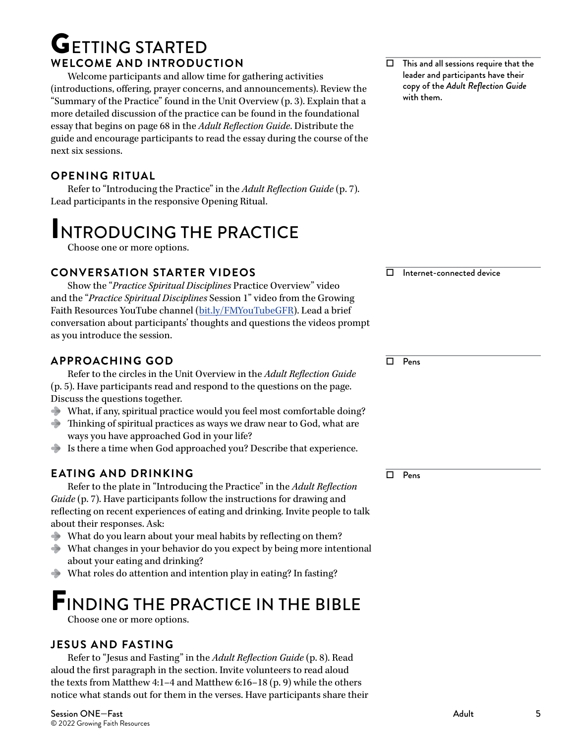## **GETTING STARTED WELCOME AND INTRODUCTION**

Welcome participants and allow time for gathering activities (introductions, offering, prayer concerns, and announcements). Review the "Summary of the Practice" found in the Unit Overview (p. 3). Explain that a more detailed discussion of the practice can be found in the foundational essay that begins on page 68 in the *Adult Reflection Guide*. Distribute the guide and encourage participants to read the essay during the course of the next six sessions.

#### **OPENING RITUAL**

Refer to "Introducing the Practice" in the *Adult Reflection Guide* (p. 7). Lead participants in the responsive Opening Ritual.

# INTRODUCING THE PRACTICE

Choose one or more options.

#### **CONVERSATION STARTER VIDEOS**

Show the "*Practice Spiritual Disciplines* Practice Overview" video and the "*Practice Spiritual Disciplines* Session 1" video from the Growing Faith Resources YouTube channel ([bit.ly/FMYouTubeGFR\)](https://www.youtube.com/c/GrowingFaithResources). Lead a brief conversation about participants' thoughts and questions the videos prompt as you introduce the session.

#### **APPROACHING GOD**

Refer to the circles in the Unit Overview in the *Adult Reflection Guide* (p. 5). Have participants read and respond to the questions on the page. Discuss the questions together.

- What, if any, spiritual practice would you feel most comfortable doing?
- Thinking of spiritual practices as ways we draw near to God, what are ways you have approached God in your life?
- Is there a time when God approached you? Describe that experience.

#### **EATING AND DRINKING**

Refer to the plate in "Introducing the Practice" in the *Adult Reflection Guide* (p. 7). Have participants follow the instructions for drawing and reflecting on recent experiences of eating and drinking. Invite people to talk about their responses. Ask:

- What do you learn about your meal habits by reflecting on them?
- What changes in your behavior do you expect by being more intentional about your eating and drinking?
- What roles do attention and intention play in eating? In fasting?

# FINDING THE PRACTICE IN THE BIBLE

Choose one or more options.

#### **JESUS AND FASTING**

Refer to "Jesus and Fasting" in the *Adult Reflection Guide* (p. 8). Read aloud the first paragraph in the section. Invite volunteers to read aloud the texts from Matthew 4:1–4 and Matthew 6:16–18 (p. 9) while the others notice what stands out for them in the verses. Have participants share their  $\Box$  This and all sessions require that the leader and participants have their copy of the *Adult Reflection Guide* with them.

Internet-connected device

 $\Box$  Pens

 $\Box$  Pens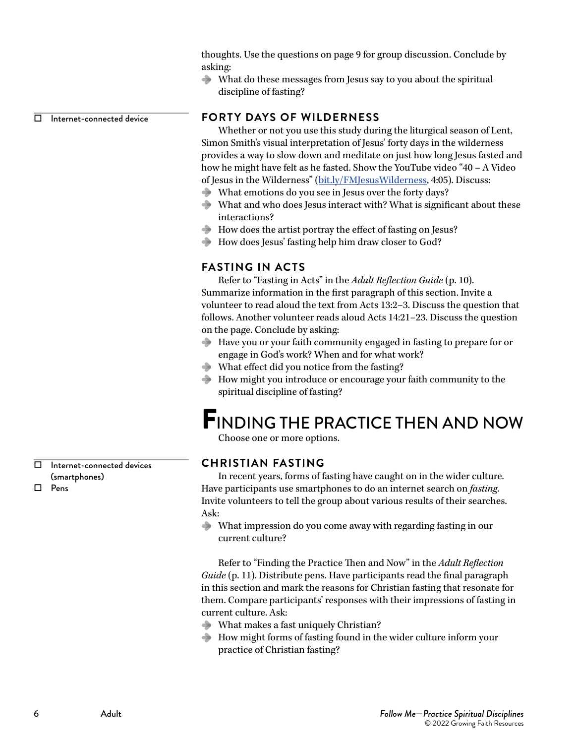thoughts. Use the questions on page 9 for group discussion. Conclude by asking:

What do these messages from Jesus say to you about the spiritual discipline of fasting?

 $\Box$  Internet-connected device

#### **FORTY DAYS OF WILDERNESS**

Whether or not you use this study during the liturgical season of Lent, Simon Smith's visual interpretation of Jesus' forty days in the wilderness provides a way to slow down and meditate on just how long Jesus fasted and how he might have felt as he fasted. Show the YouTube video "40 – A Video of Jesus in the Wilderness" [\(bit.ly/FMJesusWilderness,](https://lentproject.wordpress.com/resources/visuals-video-painting-and-design/simon-smith-40/) 4:05). Discuss:

- What emotions do you see in Jesus over the forty days?
- What and who does Jesus interact with? What is significant about these interactions?
- How does the artist portray the effect of fasting on Jesus?
- How does Jesus' fasting help him draw closer to God?

#### **FASTING IN ACTS**

Refer to "Fasting in Acts" in the *Adult Reflection Guide* (p. 10). Summarize information in the first paragraph of this section. Invite a volunteer to read aloud the text from Acts 13:2–3. Discuss the question that follows. Another volunteer reads aloud Acts 14:21–23. Discuss the question on the page. Conclude by asking:

- Have you or your faith community engaged in fasting to prepare for or engage in God's work? When and for what work?
- What effect did you notice from the fasting?
- How might you introduce or encourage your faith community to the spiritual discipline of fasting?

## FINDING THE PRACTICE THEN AND NOW

Choose one or more options.

#### **CHRISTIAN FASTING**

In recent years, forms of fasting have caught on in the wider culture. Have participants use smartphones to do an internet search on *fasting*. Invite volunteers to tell the group about various results of their searches. Ask:

What impression do you come away with regarding fasting in our current culture?

Refer to "Finding the Practice Then and Now" in the *Adult Reflection Guide* (p. 11). Distribute pens. Have participants read the final paragraph in this section and mark the reasons for Christian fasting that resonate for them. Compare participants' responses with their impressions of fasting in current culture. Ask:

- What makes a fast uniquely Christian?
- How might forms of fasting found in the wider culture inform your practice of Christian fasting?

 Internet-connected devices (smartphones) Pens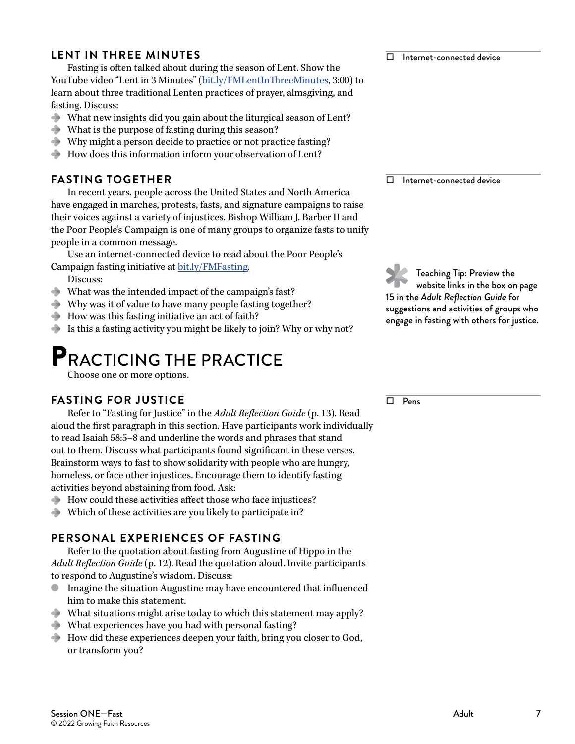#### **LENT IN THREE MINUTES**

Fasting is often talked about during the season of Lent. Show the YouTube video "Lent in 3 Minutes" [\(bit.ly/FMLentInThreeMinutes,](https://www.youtube.com/watch?v=Xo1mjuy1NA0) 3:00) to learn about three traditional Lenten practices of prayer, almsgiving, and fasting. Discuss:

- What new insights did you gain about the liturgical season of Lent?
- What is the purpose of fasting during this season?
- Why might a person decide to practice or not practice fasting?
- How does this information inform your observation of Lent?

#### **FASTING TOGETHER**

In recent years, people across the United States and North America have engaged in marches, protests, fasts, and signature campaigns to raise their voices against a variety of injustices. Bishop William J. Barber II and the Poor People's Campaign is one of many groups to organize fasts to unify people in a common message.

Use an internet-connected device to read about the Poor People's Campaign fasting initiative at [bit.ly/FMFasting.](https://www.poorpeoplescampaign.org/about/press/poor-peoples-campaign-calls-for-day-of-fasting-focus-to-mark-upheaval-in-country/)

- Discuss:
- What was the intended impact of the campaign's fast?
- Why was it of value to have many people fasting together?
- $\rightarrow$  How was this fasting initiative an act of faith?
- Is this a fasting activity you might be likely to join? Why or why not?

## PRACTICING THE PRACTICE

Choose one or more options.

#### **FASTING FOR JUSTICE**

Refer to "Fasting for Justice" in the *Adult Reflection Guide* (p. 13). Read aloud the first paragraph in this section. Have participants work individually to read Isaiah 58:5–8 and underline the words and phrases that stand out to them. Discuss what participants found significant in these verses. Brainstorm ways to fast to show solidarity with people who are hungry, homeless, or face other injustices. Encourage them to identify fasting activities beyond abstaining from food. Ask:

- How could these activities affect those who face injustices?
- Which of these activities are you likely to participate in?

#### **PERSONAL EXPERIENCES OF FASTING**

Refer to the quotation about fasting from Augustine of Hippo in the *Adult Reflection Guide* (p. 12). Read the quotation aloud. Invite participants to respond to Augustine's wisdom. Discuss:

- Imagine the situation Augustine may have encountered that influenced him to make this statement.
- What situations might arise today to which this statement may apply?
- What experiences have you had with personal fasting?
- How did these experiences deepen your faith, bring you closer to God, or transform you?

 $\Box$  Internet-connected device

Internet-connected device

Teaching Tip: Preview the website links in the box on page 15 in the *Adult Reflection Guide* for suggestions and activities of groups who engage in fasting with others for justice.

 $\overline{\Box}$  Pens